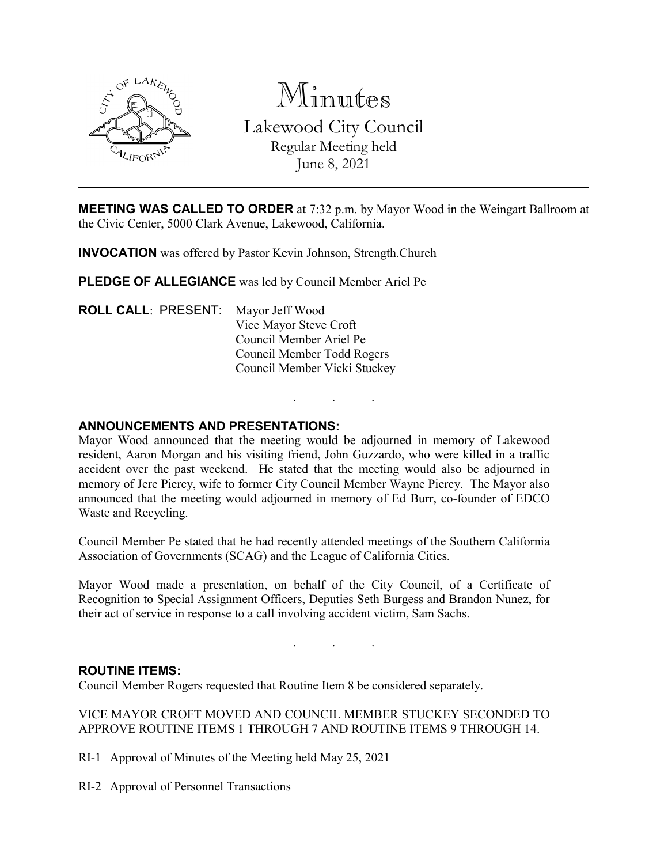

Minutes Lakewood City Council Regular Meeting held June 8, 2021

**MEETING WAS CALLED TO ORDER** at 7:32 p.m. by Mayor Wood in the Weingart Ballroom at the Civic Center, 5000 Clark Avenue, Lakewood, California.

**INVOCATION** was offered by Pastor Kevin Johnson, Strength.Church

**PLEDGE OF ALLEGIANCE** was led by Council Member Ariel Pe

**ROLL CALL**: PRESENT: Mayor Jeff Wood Vice Mayor Steve Croft Council Member Ariel Pe Council Member Todd Rogers Council Member Vicki Stuckey

# **ANNOUNCEMENTS AND PRESENTATIONS:**

Mayor Wood announced that the meeting would be adjourned in memory of Lakewood resident, Aaron Morgan and his visiting friend, John Guzzardo, who were killed in a traffic accident over the past weekend. He stated that the meeting would also be adjourned in memory of Jere Piercy, wife to former City Council Member Wayne Piercy. The Mayor also announced that the meeting would adjourned in memory of Ed Burr, co-founder of EDCO Waste and Recycling.

. . .

Council Member Pe stated that he had recently attended meetings of the Southern California Association of Governments (SCAG) and the League of California Cities.

Mayor Wood made a presentation, on behalf of the City Council, of a Certificate of Recognition to Special Assignment Officers, Deputies Seth Burgess and Brandon Nunez, for their act of service in response to a call involving accident victim, Sam Sachs.

. . .

### **ROUTINE ITEMS:**

Council Member Rogers requested that Routine Item 8 be considered separately.

VICE MAYOR CROFT MOVED AND COUNCIL MEMBER STUCKEY SECONDED TO APPROVE ROUTINE ITEMS 1 THROUGH 7 AND ROUTINE ITEMS 9 THROUGH 14.

RI-1 Approval of Minutes of the Meeting held May 25, 2021

RI-2 Approval of Personnel Transactions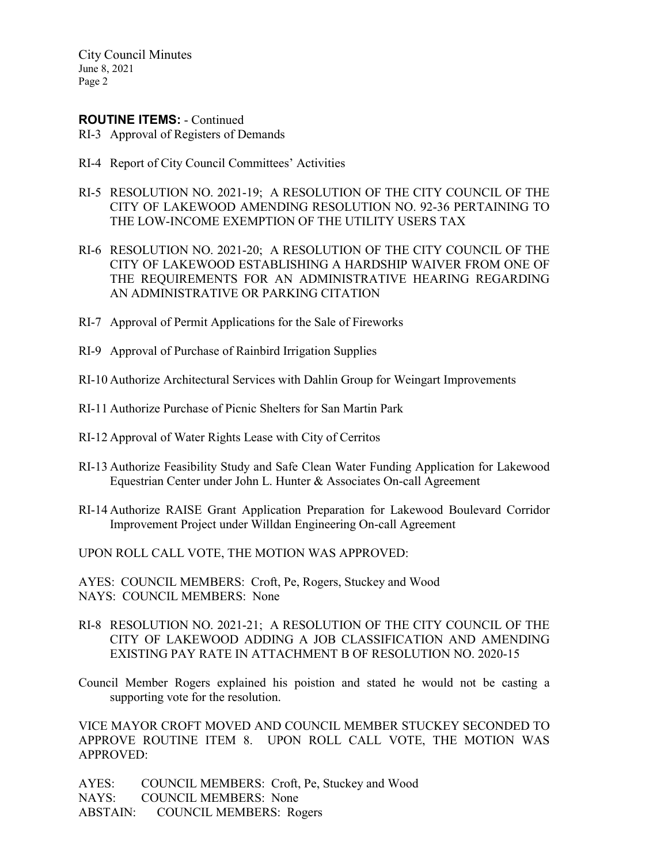#### **ROUTINE ITEMS:** - Continued

- RI-3 Approval of Registers of Demands
- RI-4 Report of City Council Committees' Activities
- RI-5 RESOLUTION NO. 2021-19; A RESOLUTION OF THE CITY COUNCIL OF THE CITY OF LAKEWOOD AMENDING RESOLUTION NO. 92-36 PERTAINING TO THE LOW-INCOME EXEMPTION OF THE UTILITY USERS TAX
- RI-6 RESOLUTION NO. 2021-20; A RESOLUTION OF THE CITY COUNCIL OF THE CITY OF LAKEWOOD ESTABLISHING A HARDSHIP WAIVER FROM ONE OF THE REQUIREMENTS FOR AN ADMINISTRATIVE HEARING REGARDING AN ADMINISTRATIVE OR PARKING CITATION
- RI-7 Approval of Permit Applications for the Sale of Fireworks
- RI-9 Approval of Purchase of Rainbird Irrigation Supplies
- RI-10 Authorize Architectural Services with Dahlin Group for Weingart Improvements
- RI-11 Authorize Purchase of Picnic Shelters for San Martin Park
- RI-12 Approval of Water Rights Lease with City of Cerritos
- RI-13 Authorize Feasibility Study and Safe Clean Water Funding Application for Lakewood Equestrian Center under John L. Hunter & Associates On-call Agreement
- RI-14 Authorize RAISE Grant Application Preparation for Lakewood Boulevard Corridor Improvement Project under Willdan Engineering On-call Agreement

UPON ROLL CALL VOTE, THE MOTION WAS APPROVED:

AYES: COUNCIL MEMBERS: Croft, Pe, Rogers, Stuckey and Wood NAYS: COUNCIL MEMBERS: None

- RI-8 RESOLUTION NO. 2021-21; A RESOLUTION OF THE CITY COUNCIL OF THE CITY OF LAKEWOOD ADDING A JOB CLASSIFICATION AND AMENDING EXISTING PAY RATE IN ATTACHMENT B OF RESOLUTION NO. 2020-15
- Council Member Rogers explained his poistion and stated he would not be casting a supporting vote for the resolution.

VICE MAYOR CROFT MOVED AND COUNCIL MEMBER STUCKEY SECONDED TO APPROVE ROUTINE ITEM 8. UPON ROLL CALL VOTE, THE MOTION WAS APPROVED:

AYES: COUNCIL MEMBERS: Croft, Pe, Stuckey and Wood NAYS: COUNCIL MEMBERS: None ABSTAIN: COUNCIL MEMBERS: Rogers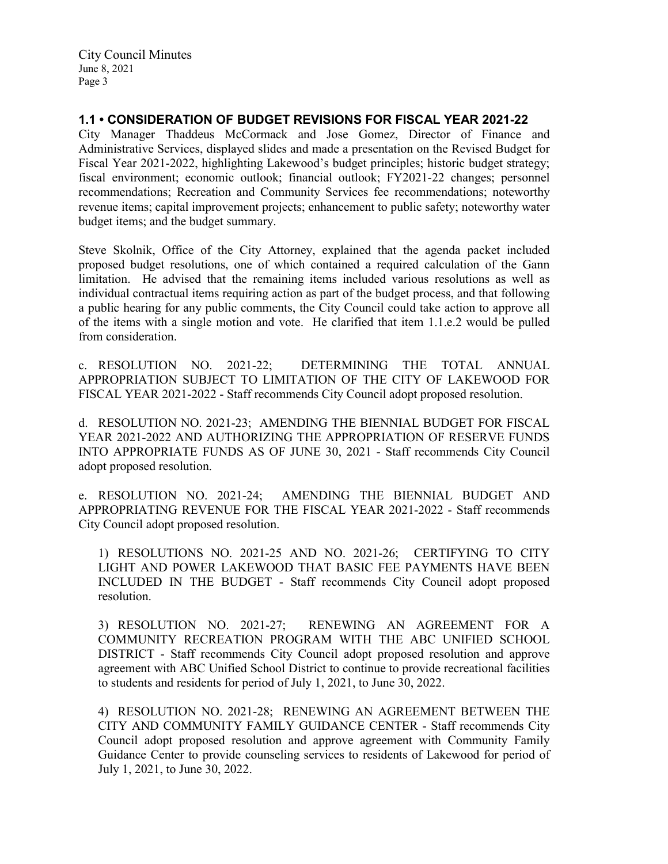## **1.1 • CONSIDERATION OF BUDGET REVISIONS FOR FISCAL YEAR 2021-22**

City Manager Thaddeus McCormack and Jose Gomez, Director of Finance and Administrative Services, displayed slides and made a presentation on the Revised Budget for Fiscal Year 2021-2022, highlighting Lakewood's budget principles; historic budget strategy; fiscal environment; economic outlook; financial outlook; FY2021-22 changes; personnel recommendations; Recreation and Community Services fee recommendations; noteworthy revenue items; capital improvement projects; enhancement to public safety; noteworthy water budget items; and the budget summary.

Steve Skolnik, Office of the City Attorney, explained that the agenda packet included proposed budget resolutions, one of which contained a required calculation of the Gann limitation. He advised that the remaining items included various resolutions as well as individual contractual items requiring action as part of the budget process, and that following a public hearing for any public comments, the City Council could take action to approve all of the items with a single motion and vote. He clarified that item 1.1.e.2 would be pulled from consideration.

c. RESOLUTION NO. 2021-22; DETERMINING THE TOTAL ANNUAL APPROPRIATION SUBJECT TO LIMITATION OF THE CITY OF LAKEWOOD FOR FISCAL YEAR 2021-2022 - Staff recommends City Council adopt proposed resolution.

d. RESOLUTION NO. 2021-23; AMENDING THE BIENNIAL BUDGET FOR FISCAL YEAR 2021-2022 AND AUTHORIZING THE APPROPRIATION OF RESERVE FUNDS INTO APPROPRIATE FUNDS AS OF JUNE 30, 2021 - Staff recommends City Council adopt proposed resolution.

e. RESOLUTION NO. 2021-24; AMENDING THE BIENNIAL BUDGET AND APPROPRIATING REVENUE FOR THE FISCAL YEAR 2021-2022 - Staff recommends City Council adopt proposed resolution.

1) RESOLUTIONS NO. 2021-25 AND NO. 2021-26; CERTIFYING TO CITY LIGHT AND POWER LAKEWOOD THAT BASIC FEE PAYMENTS HAVE BEEN INCLUDED IN THE BUDGET - Staff recommends City Council adopt proposed resolution.

3) RESOLUTION NO. 2021-27; RENEWING AN AGREEMENT FOR A COMMUNITY RECREATION PROGRAM WITH THE ABC UNIFIED SCHOOL DISTRICT - Staff recommends City Council adopt proposed resolution and approve agreement with ABC Unified School District to continue to provide recreational facilities to students and residents for period of July 1, 2021, to June 30, 2022.

4) RESOLUTION NO. 2021-28; RENEWING AN AGREEMENT BETWEEN THE CITY AND COMMUNITY FAMILY GUIDANCE CENTER - Staff recommends City Council adopt proposed resolution and approve agreement with Community Family Guidance Center to provide counseling services to residents of Lakewood for period of July 1, 2021, to June 30, 2022.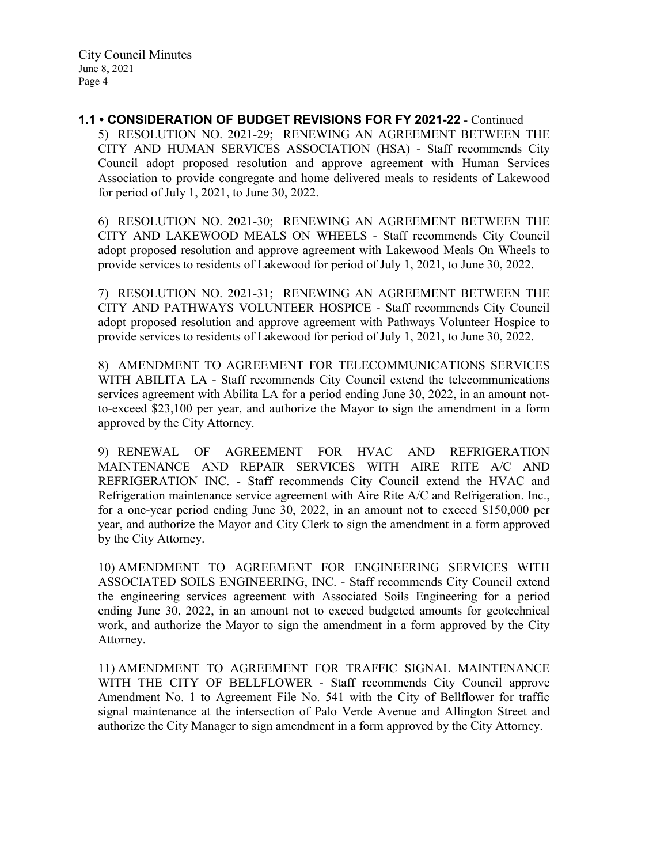**1.1 • CONSIDERATION OF BUDGET REVISIONS FOR FY 2021-22** - Continued 5) RESOLUTION NO. 2021-29; RENEWING AN AGREEMENT BETWEEN THE CITY AND HUMAN SERVICES ASSOCIATION (HSA) - Staff recommends City Council adopt proposed resolution and approve agreement with Human Services Association to provide congregate and home delivered meals to residents of Lakewood for period of July 1, 2021, to June 30, 2022.

6) RESOLUTION NO. 2021-30; RENEWING AN AGREEMENT BETWEEN THE CITY AND LAKEWOOD MEALS ON WHEELS - Staff recommends City Council adopt proposed resolution and approve agreement with Lakewood Meals On Wheels to provide services to residents of Lakewood for period of July 1, 2021, to June 30, 2022.

7) RESOLUTION NO. 2021-31; RENEWING AN AGREEMENT BETWEEN THE CITY AND PATHWAYS VOLUNTEER HOSPICE - Staff recommends City Council adopt proposed resolution and approve agreement with Pathways Volunteer Hospice to provide services to residents of Lakewood for period of July 1, 2021, to June 30, 2022.

8) AMENDMENT TO AGREEMENT FOR TELECOMMUNICATIONS SERVICES WITH ABILITA LA - Staff recommends City Council extend the telecommunications services agreement with Abilita LA for a period ending June 30, 2022, in an amount notto-exceed \$23,100 per year, and authorize the Mayor to sign the amendment in a form approved by the City Attorney.

9) RENEWAL OF AGREEMENT FOR HVAC AND REFRIGERATION MAINTENANCE AND REPAIR SERVICES WITH AIRE RITE A/C AND REFRIGERATION INC. - Staff recommends City Council extend the HVAC and Refrigeration maintenance service agreement with Aire Rite A/C and Refrigeration. Inc., for a one-year period ending June 30, 2022, in an amount not to exceed \$150,000 per year, and authorize the Mayor and City Clerk to sign the amendment in a form approved by the City Attorney.

10) AMENDMENT TO AGREEMENT FOR ENGINEERING SERVICES WITH ASSOCIATED SOILS ENGINEERING, INC. - Staff recommends City Council extend the engineering services agreement with Associated Soils Engineering for a period ending June 30, 2022, in an amount not to exceed budgeted amounts for geotechnical work, and authorize the Mayor to sign the amendment in a form approved by the City Attorney.

11) AMENDMENT TO AGREEMENT FOR TRAFFIC SIGNAL MAINTENANCE WITH THE CITY OF BELLFLOWER - Staff recommends City Council approve Amendment No. 1 to Agreement File No. 541 with the City of Bellflower for traffic signal maintenance at the intersection of Palo Verde Avenue and Allington Street and authorize the City Manager to sign amendment in a form approved by the City Attorney.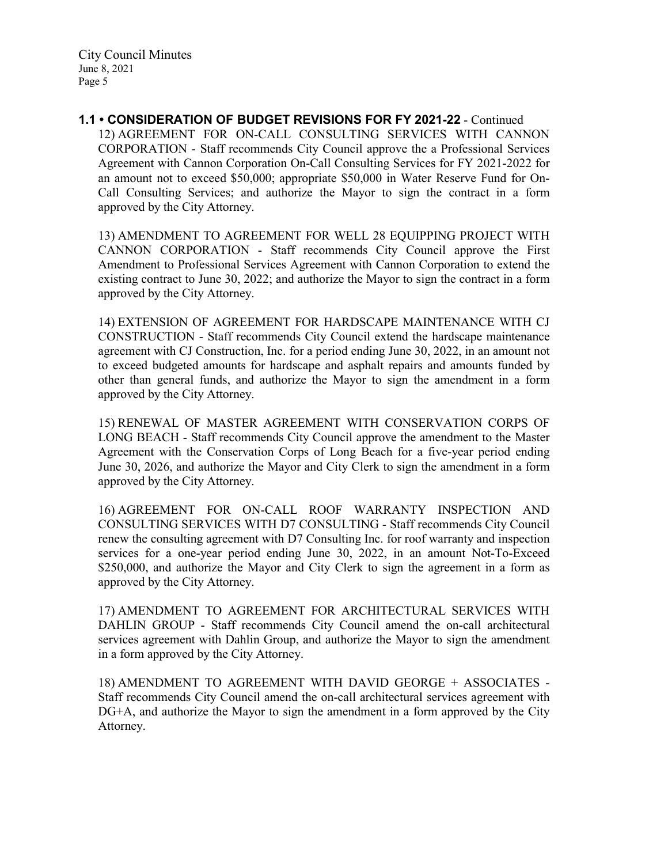**1.1 • CONSIDERATION OF BUDGET REVISIONS FOR FY 2021-22** - Continued 12) AGREEMENT FOR ON-CALL CONSULTING SERVICES WITH CANNON CORPORATION - Staff recommends City Council approve the a Professional Services Agreement with Cannon Corporation On-Call Consulting Services for FY 2021-2022 for an amount not to exceed \$50,000; appropriate \$50,000 in Water Reserve Fund for On-Call Consulting Services; and authorize the Mayor to sign the contract in a form approved by the City Attorney.

13) AMENDMENT TO AGREEMENT FOR WELL 28 EQUIPPING PROJECT WITH CANNON CORPORATION - Staff recommends City Council approve the First Amendment to Professional Services Agreement with Cannon Corporation to extend the existing contract to June 30, 2022; and authorize the Mayor to sign the contract in a form approved by the City Attorney.

14) EXTENSION OF AGREEMENT FOR HARDSCAPE MAINTENANCE WITH CJ CONSTRUCTION - Staff recommends City Council extend the hardscape maintenance agreement with CJ Construction, Inc. for a period ending June 30, 2022, in an amount not to exceed budgeted amounts for hardscape and asphalt repairs and amounts funded by other than general funds, and authorize the Mayor to sign the amendment in a form approved by the City Attorney.

15) RENEWAL OF MASTER AGREEMENT WITH CONSERVATION CORPS OF LONG BEACH - Staff recommends City Council approve the amendment to the Master Agreement with the Conservation Corps of Long Beach for a five-year period ending June 30, 2026, and authorize the Mayor and City Clerk to sign the amendment in a form approved by the City Attorney.

16) AGREEMENT FOR ON-CALL ROOF WARRANTY INSPECTION AND CONSULTING SERVICES WITH D7 CONSULTING - Staff recommends City Council renew the consulting agreement with D7 Consulting Inc. for roof warranty and inspection services for a one-year period ending June 30, 2022, in an amount Not-To-Exceed \$250,000, and authorize the Mayor and City Clerk to sign the agreement in a form as approved by the City Attorney.

17) AMENDMENT TO AGREEMENT FOR ARCHITECTURAL SERVICES WITH DAHLIN GROUP - Staff recommends City Council amend the on-call architectural services agreement with Dahlin Group, and authorize the Mayor to sign the amendment in a form approved by the City Attorney.

18) AMENDMENT TO AGREEMENT WITH DAVID GEORGE + ASSOCIATES - Staff recommends City Council amend the on-call architectural services agreement with DG+A, and authorize the Mayor to sign the amendment in a form approved by the City Attorney.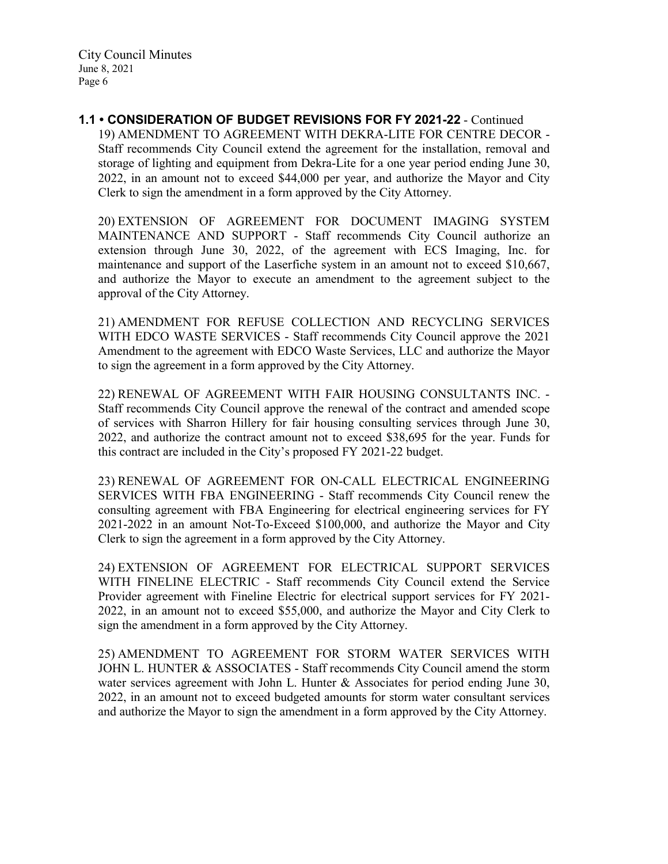**1.1 • CONSIDERATION OF BUDGET REVISIONS FOR FY 2021-22** - Continued 19) AMENDMENT TO AGREEMENT WITH DEKRA-LITE FOR CENTRE DECOR - Staff recommends City Council extend the agreement for the installation, removal and storage of lighting and equipment from Dekra-Lite for a one year period ending June 30, 2022, in an amount not to exceed \$44,000 per year, and authorize the Mayor and City Clerk to sign the amendment in a form approved by the City Attorney.

20) EXTENSION OF AGREEMENT FOR DOCUMENT IMAGING SYSTEM MAINTENANCE AND SUPPORT - Staff recommends City Council authorize an extension through June 30, 2022, of the agreement with ECS Imaging, Inc. for maintenance and support of the Laserfiche system in an amount not to exceed \$10,667, and authorize the Mayor to execute an amendment to the agreement subject to the approval of the City Attorney.

21) AMENDMENT FOR REFUSE COLLECTION AND RECYCLING SERVICES WITH EDCO WASTE SERVICES - Staff recommends City Council approve the 2021 Amendment to the agreement with EDCO Waste Services, LLC and authorize the Mayor to sign the agreement in a form approved by the City Attorney.

22) RENEWAL OF AGREEMENT WITH FAIR HOUSING CONSULTANTS INC. - Staff recommends City Council approve the renewal of the contract and amended scope of services with Sharron Hillery for fair housing consulting services through June 30, 2022, and authorize the contract amount not to exceed \$38,695 for the year. Funds for this contract are included in the City's proposed FY 2021-22 budget.

23) RENEWAL OF AGREEMENT FOR ON-CALL ELECTRICAL ENGINEERING SERVICES WITH FBA ENGINEERING - Staff recommends City Council renew the consulting agreement with FBA Engineering for electrical engineering services for FY 2021-2022 in an amount Not-To-Exceed \$100,000, and authorize the Mayor and City Clerk to sign the agreement in a form approved by the City Attorney.

24) EXTENSION OF AGREEMENT FOR ELECTRICAL SUPPORT SERVICES WITH FINELINE ELECTRIC - Staff recommends City Council extend the Service Provider agreement with Fineline Electric for electrical support services for FY 2021- 2022, in an amount not to exceed \$55,000, and authorize the Mayor and City Clerk to sign the amendment in a form approved by the City Attorney.

25) AMENDMENT TO AGREEMENT FOR STORM WATER SERVICES WITH JOHN L. HUNTER & ASSOCIATES - Staff recommends City Council amend the storm water services agreement with John L. Hunter & Associates for period ending June 30, 2022, in an amount not to exceed budgeted amounts for storm water consultant services and authorize the Mayor to sign the amendment in a form approved by the City Attorney.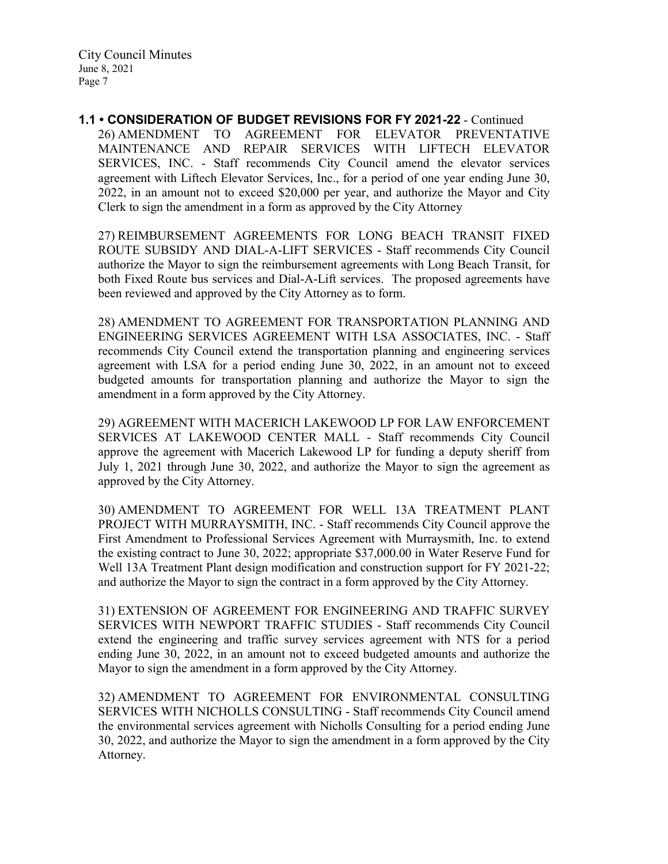**1.1 • CONSIDERATION OF BUDGET REVISIONS FOR FY 2021-22** - Continued 26) AMENDMENT TO AGREEMENT FOR ELEVATOR PREVENTATIVE MAINTENANCE AND REPAIR SERVICES WITH LIFTECH ELEVATOR SERVICES, INC. - Staff recommends City Council amend the elevator services agreement with Liftech Elevator Services, Inc., for a period of one year ending June 30, 2022, in an amount not to exceed \$20,000 per year, and authorize the Mayor and City Clerk to sign the amendment in a form as approved by the City Attorney

27) REIMBURSEMENT AGREEMENTS FOR LONG BEACH TRANSIT FIXED ROUTE SUBSIDY AND DIAL-A-LIFT SERVICES - Staff recommends City Council authorize the Mayor to sign the reimbursement agreements with Long Beach Transit, for both Fixed Route bus services and Dial-A-Lift services. The proposed agreements have been reviewed and approved by the City Attorney as to form.

28) AMENDMENT TO AGREEMENT FOR TRANSPORTATION PLANNING AND ENGINEERING SERVICES AGREEMENT WITH LSA ASSOCIATES, INC. - Staff recommends City Council extend the transportation planning and engineering services agreement with LSA for a period ending June 30, 2022, in an amount not to exceed budgeted amounts for transportation planning and authorize the Mayor to sign the amendment in a form approved by the City Attorney.

29) AGREEMENT WITH MACERICH LAKEWOOD LP FOR LAW ENFORCEMENT SERVICES AT LAKEWOOD CENTER MALL - Staff recommends City Council approve the agreement with Macerich Lakewood LP for funding a deputy sheriff from July 1, 2021 through June 30, 2022, and authorize the Mayor to sign the agreement as approved by the City Attorney.

30) AMENDMENT TO AGREEMENT FOR WELL 13A TREATMENT PLANT PROJECT WITH MURRAYSMITH, INC. - Staff recommends City Council approve the First Amendment to Professional Services Agreement with Murraysmith, Inc. to extend the existing contract to June 30, 2022; appropriate \$37,000.00 in Water Reserve Fund for Well 13A Treatment Plant design modification and construction support for FY 2021-22; and authorize the Mayor to sign the contract in a form approved by the City Attorney.

31) EXTENSION OF AGREEMENT FOR ENGINEERING AND TRAFFIC SURVEY SERVICES WITH NEWPORT TRAFFIC STUDIES - Staff recommends City Council extend the engineering and traffic survey services agreement with NTS for a period ending June 30, 2022, in an amount not to exceed budgeted amounts and authorize the Mayor to sign the amendment in a form approved by the City Attorney.

32) AMENDMENT TO AGREEMENT FOR ENVIRONMENTAL CONSULTING SERVICES WITH NICHOLLS CONSULTING - Staff recommends City Council amend the environmental services agreement with Nicholls Consulting for a period ending June 30, 2022, and authorize the Mayor to sign the amendment in a form approved by the City Attorney.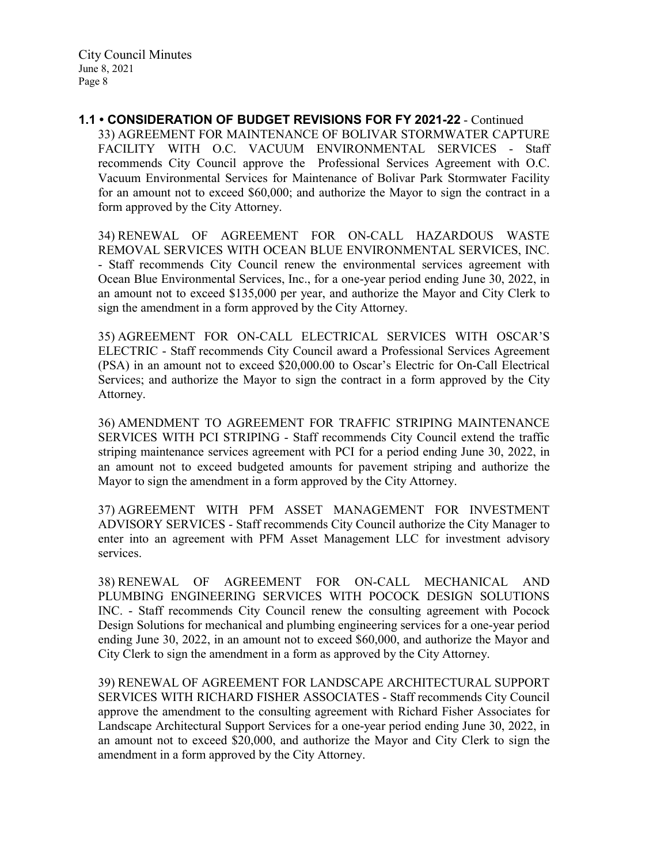**1.1 • CONSIDERATION OF BUDGET REVISIONS FOR FY 2021-22** - Continued 33) AGREEMENT FOR MAINTENANCE OF BOLIVAR STORMWATER CAPTURE FACILITY WITH O.C. VACUUM ENVIRONMENTAL SERVICES - Staff recommends City Council approve the Professional Services Agreement with O.C. Vacuum Environmental Services for Maintenance of Bolivar Park Stormwater Facility for an amount not to exceed \$60,000; and authorize the Mayor to sign the contract in a form approved by the City Attorney.

34) RENEWAL OF AGREEMENT FOR ON-CALL HAZARDOUS WASTE REMOVAL SERVICES WITH OCEAN BLUE ENVIRONMENTAL SERVICES, INC. - Staff recommends City Council renew the environmental services agreement with Ocean Blue Environmental Services, Inc., for a one-year period ending June 30, 2022, in an amount not to exceed \$135,000 per year, and authorize the Mayor and City Clerk to sign the amendment in a form approved by the City Attorney.

35) AGREEMENT FOR ON-CALL ELECTRICAL SERVICES WITH OSCAR'S ELECTRIC - Staff recommends City Council award a Professional Services Agreement (PSA) in an amount not to exceed \$20,000.00 to Oscar's Electric for On-Call Electrical Services; and authorize the Mayor to sign the contract in a form approved by the City Attorney.

36) AMENDMENT TO AGREEMENT FOR TRAFFIC STRIPING MAINTENANCE SERVICES WITH PCI STRIPING - Staff recommends City Council extend the traffic striping maintenance services agreement with PCI for a period ending June 30, 2022, in an amount not to exceed budgeted amounts for pavement striping and authorize the Mayor to sign the amendment in a form approved by the City Attorney.

37) AGREEMENT WITH PFM ASSET MANAGEMENT FOR INVESTMENT ADVISORY SERVICES - Staff recommends City Council authorize the City Manager to enter into an agreement with PFM Asset Management LLC for investment advisory services.

38) RENEWAL OF AGREEMENT FOR ON-CALL MECHANICAL AND PLUMBING ENGINEERING SERVICES WITH POCOCK DESIGN SOLUTIONS INC. - Staff recommends City Council renew the consulting agreement with Pocock Design Solutions for mechanical and plumbing engineering services for a one-year period ending June 30, 2022, in an amount not to exceed \$60,000, and authorize the Mayor and City Clerk to sign the amendment in a form as approved by the City Attorney.

39) RENEWAL OF AGREEMENT FOR LANDSCAPE ARCHITECTURAL SUPPORT SERVICES WITH RICHARD FISHER ASSOCIATES - Staff recommends City Council approve the amendment to the consulting agreement with Richard Fisher Associates for Landscape Architectural Support Services for a one-year period ending June 30, 2022, in an amount not to exceed \$20,000, and authorize the Mayor and City Clerk to sign the amendment in a form approved by the City Attorney.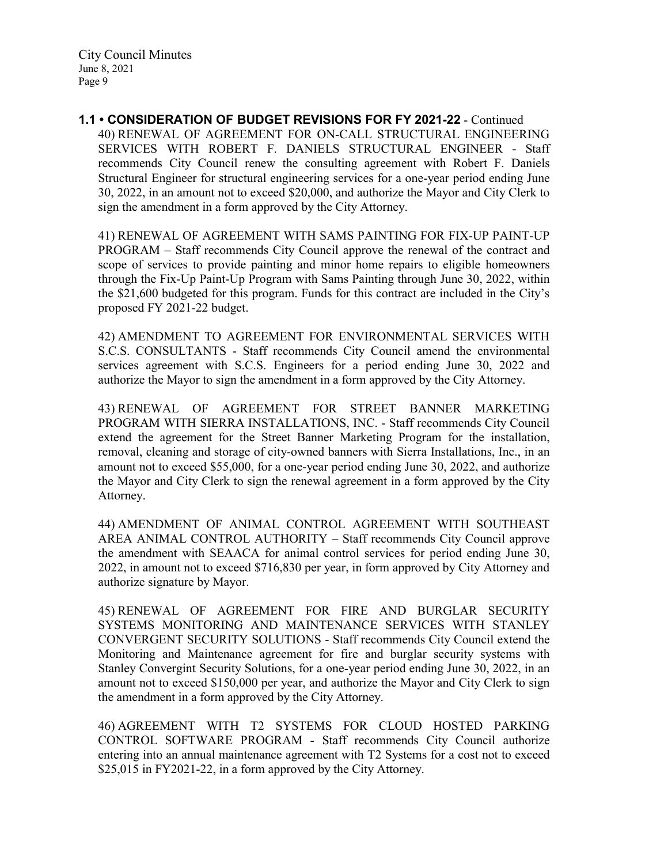**1.1 • CONSIDERATION OF BUDGET REVISIONS FOR FY 2021-22** - Continued 40) RENEWAL OF AGREEMENT FOR ON-CALL STRUCTURAL ENGINEERING SERVICES WITH ROBERT F. DANIELS STRUCTURAL ENGINEER - Staff recommends City Council renew the consulting agreement with Robert F. Daniels Structural Engineer for structural engineering services for a one-year period ending June 30, 2022, in an amount not to exceed \$20,000, and authorize the Mayor and City Clerk to sign the amendment in a form approved by the City Attorney.

41) RENEWAL OF AGREEMENT WITH SAMS PAINTING FOR FIX-UP PAINT-UP PROGRAM – Staff recommends City Council approve the renewal of the contract and scope of services to provide painting and minor home repairs to eligible homeowners through the Fix-Up Paint-Up Program with Sams Painting through June 30, 2022, within the \$21,600 budgeted for this program. Funds for this contract are included in the City's proposed FY 2021-22 budget.

42) AMENDMENT TO AGREEMENT FOR ENVIRONMENTAL SERVICES WITH S.C.S. CONSULTANTS - Staff recommends City Council amend the environmental services agreement with S.C.S. Engineers for a period ending June 30, 2022 and authorize the Mayor to sign the amendment in a form approved by the City Attorney.

43) RENEWAL OF AGREEMENT FOR STREET BANNER MARKETING PROGRAM WITH SIERRA INSTALLATIONS, INC. - Staff recommends City Council extend the agreement for the Street Banner Marketing Program for the installation, removal, cleaning and storage of city-owned banners with Sierra Installations, Inc., in an amount not to exceed \$55,000, for a one-year period ending June 30, 2022, and authorize the Mayor and City Clerk to sign the renewal agreement in a form approved by the City Attorney.

44) AMENDMENT OF ANIMAL CONTROL AGREEMENT WITH SOUTHEAST AREA ANIMAL CONTROL AUTHORITY – Staff recommends City Council approve the amendment with SEAACA for animal control services for period ending June 30, 2022, in amount not to exceed \$716,830 per year, in form approved by City Attorney and authorize signature by Mayor.

45) RENEWAL OF AGREEMENT FOR FIRE AND BURGLAR SECURITY SYSTEMS MONITORING AND MAINTENANCE SERVICES WITH STANLEY CONVERGENT SECURITY SOLUTIONS - Staff recommends City Council extend the Monitoring and Maintenance agreement for fire and burglar security systems with Stanley Convergint Security Solutions, for a one-year period ending June 30, 2022, in an amount not to exceed \$150,000 per year, and authorize the Mayor and City Clerk to sign the amendment in a form approved by the City Attorney.

46) AGREEMENT WITH T2 SYSTEMS FOR CLOUD HOSTED PARKING CONTROL SOFTWARE PROGRAM - Staff recommends City Council authorize entering into an annual maintenance agreement with T2 Systems for a cost not to exceed \$25,015 in FY2021-22, in a form approved by the City Attorney.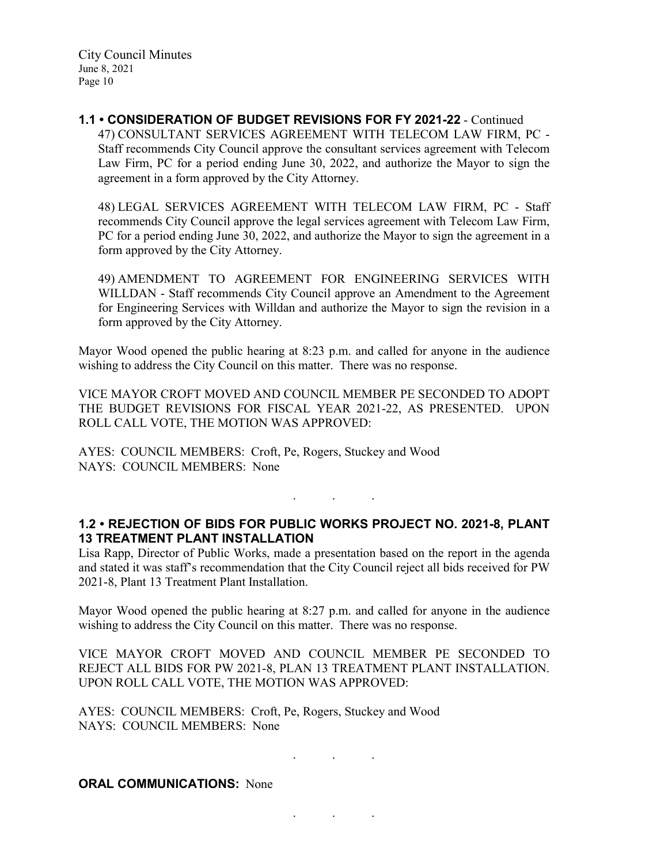**1.1 • CONSIDERATION OF BUDGET REVISIONS FOR FY 2021-22** - Continued 47) CONSULTANT SERVICES AGREEMENT WITH TELECOM LAW FIRM, PC - Staff recommends City Council approve the consultant services agreement with Telecom Law Firm, PC for a period ending June 30, 2022, and authorize the Mayor to sign the agreement in a form approved by the City Attorney.

48) LEGAL SERVICES AGREEMENT WITH TELECOM LAW FIRM, PC - Staff recommends City Council approve the legal services agreement with Telecom Law Firm, PC for a period ending June 30, 2022, and authorize the Mayor to sign the agreement in a form approved by the City Attorney.

49) AMENDMENT TO AGREEMENT FOR ENGINEERING SERVICES WITH WILLDAN - Staff recommends City Council approve an Amendment to the Agreement for Engineering Services with Willdan and authorize the Mayor to sign the revision in a form approved by the City Attorney.

Mayor Wood opened the public hearing at 8:23 p.m. and called for anyone in the audience wishing to address the City Council on this matter. There was no response.

VICE MAYOR CROFT MOVED AND COUNCIL MEMBER PE SECONDED TO ADOPT THE BUDGET REVISIONS FOR FISCAL YEAR 2021-22, AS PRESENTED. UPON ROLL CALL VOTE, THE MOTION WAS APPROVED:

AYES: COUNCIL MEMBERS: Croft, Pe, Rogers, Stuckey and Wood NAYS: COUNCIL MEMBERS: None

### **1.2 • REJECTION OF BIDS FOR PUBLIC WORKS PROJECT NO. 2021-8, PLANT 13 TREATMENT PLANT INSTALLATION**

. . .

Lisa Rapp, Director of Public Works, made a presentation based on the report in the agenda and stated it was staff's recommendation that the City Council reject all bids received for PW 2021-8, Plant 13 Treatment Plant Installation.

Mayor Wood opened the public hearing at 8:27 p.m. and called for anyone in the audience wishing to address the City Council on this matter. There was no response.

VICE MAYOR CROFT MOVED AND COUNCIL MEMBER PE SECONDED TO REJECT ALL BIDS FOR PW 2021-8, PLAN 13 TREATMENT PLANT INSTALLATION. UPON ROLL CALL VOTE, THE MOTION WAS APPROVED:

. . .

. . .

AYES: COUNCIL MEMBERS: Croft, Pe, Rogers, Stuckey and Wood NAYS: COUNCIL MEMBERS: None

#### **ORAL COMMUNICATIONS: None**